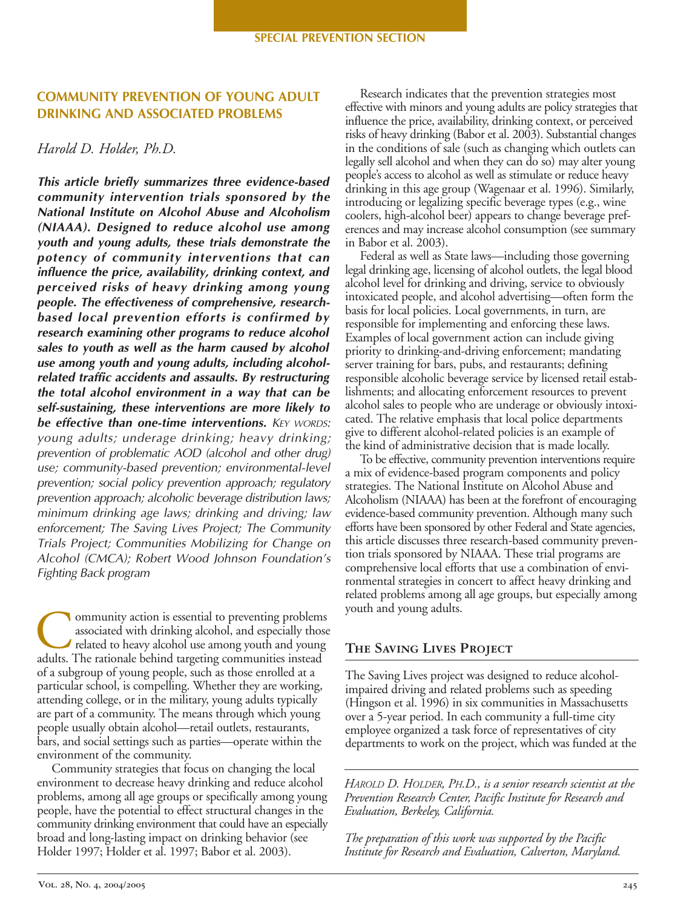## **COMMUNITY PREVENTION OF YOUNG ADULT DRINKING AND ASSOCIATED PROBLEMS**

#### *Harold D. Holder, Ph.D.*

*This article briefly summarizes three evidence-based community intervention trials sponsored by the National Institute on Alcohol Abuse and Alcoholism (NIAAA). Designed to reduce alcohol use among youth and young adults, these trials demonstrate the potency of community interventions that can influence the price, availability, drinking context, and perceived risks of heavy drinking among young people. The effectiveness of comprehensive, researchbased local prevention efforts is confirmed by research examining other programs to reduce alcohol sales to youth as well as the harm caused by alcohol use among youth and young adults, including alcoholrelated traffic accidents and assaults. By restructuring the total alcohol environment in a way that can be self-sustaining, these interventions are more likely to be effective than one-time interventions. KEY WORDS: young adults; underage drinking; heavy drinking; prevention of problematic AOD (alcohol and other drug) use; community-based prevention; environmental-level prevention; social policy prevention approach; regulatory prevention approach; alcoholic beverage distribution laws; minimum drinking age laws; drinking and driving; law enforcement; The Saving Lives Project; The Community Trials Project; Communities Mobilizing for Change on Alcohol (CMCA); Robert Wood Johnson Foundation's Fighting Back program* 

Community action is essential to preventing problems<br>associated with drinking alcohol, and especially those<br>related to heavy alcohol use among youth and young<br>adults. The rationale behind targeting communities instead associated with drinking alcohol, and especially those related to heavy alcohol use among youth and young adults. The rationale behind targeting communities instead of a subgroup of young people, such as those enrolled at a particular school, is compelling. Whether they are working, attending college, or in the military, young adults typically are part of a community. The means through which young people usually obtain alcohol—retail outlets, restaurants, bars, and social settings such as parties—operate within the environment of the community.

Community strategies that focus on changing the local environment to decrease heavy drinking and reduce alcohol problems, among all age groups or specifically among young people, have the potential to effect structural changes in the community drinking environment that could have an especially broad and long-lasting impact on drinking behavior (see Holder 1997; Holder et al. 1997; Babor et al. 2003).

Research indicates that the prevention strategies most effective with minors and young adults are policy strategies that influence the price, availability, drinking context, or perceived risks of heavy drinking (Babor et al. 2003). Substantial changes in the conditions of sale (such as changing which outlets can legally sell alcohol and when they can do so) may alter young people's access to alcohol as well as stimulate or reduce heavy drinking in this age group (Wagenaar et al. 1996). Similarly, introducing or legalizing specific beverage types (e.g., wine coolers, high-alcohol beer) appears to change beverage preferences and may increase alcohol consumption (see summary in Babor et al. 2003).

Federal as well as State laws—including those governing legal drinking age, licensing of alcohol outlets, the legal blood alcohol level for drinking and driving, service to obviously intoxicated people, and alcohol advertising—often form the basis for local policies. Local governments, in turn, are responsible for implementing and enforcing these laws. Examples of local government action can include giving priority to drinking-and-driving enforcement; mandating server training for bars, pubs, and restaurants; defining responsible alcoholic beverage service by licensed retail establishments; and allocating enforcement resources to prevent alcohol sales to people who are underage or obviously intoxicated. The relative emphasis that local police departments give to different alcohol-related policies is an example of the kind of administrative decision that is made locally.

To be effective, community prevention interventions require a mix of evidence-based program components and policy strategies. The National Institute on Alcohol Abuse and Alcoholism (NIAAA) has been at the forefront of encouraging evidence-based community prevention. Although many such efforts have been sponsored by other Federal and State agencies, this article discusses three research-based community prevention trials sponsored by NIAAA. These trial programs are comprehensive local efforts that use a combination of environmental strategies in concert to affect heavy drinking and related problems among all age groups, but especially among youth and young adults.

## **The Saving Lives Project**

The Saving Lives project was designed to reduce alcoholimpaired driving and related problems such as speeding (Hingson et al. 1996) in six communities in Massachusetts over a 5-year period. In each community a full-time city employee organized a task force of representatives of city departments to work on the project, which was funded at the

*HAROLD D. HOLDER, PH.D., is a senior research scientist at the Prevention Research Center, Pacific Institute for Research and Evaluation, Berkeley, California.* 

*The preparation of this work was supported by the Pacific Institute for Research and Evaluation, Calverton, Maryland.*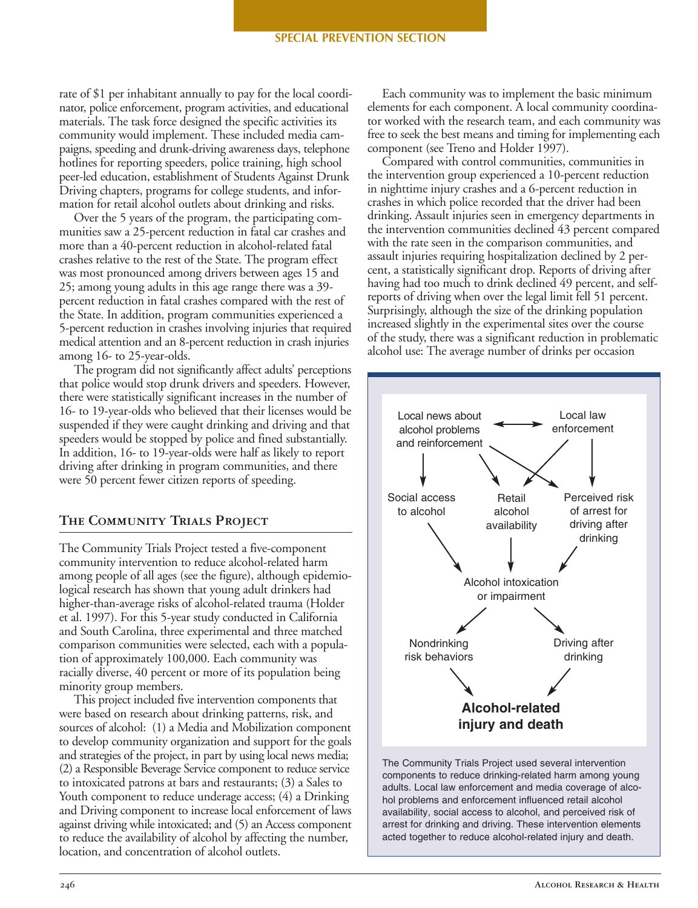#### **SPECIAL PREVENTION SECTION**

rate of \$1 per inhabitant annually to pay for the local coordinator, police enforcement, program activities, and educational materials. The task force designed the specific activities its community would implement. These included media campaigns, speeding and drunk-driving awareness days, telephone hotlines for reporting speeders, police training, high school peer-led education, establishment of Students Against Drunk Driving chapters, programs for college students, and information for retail alcohol outlets about drinking and risks.

Over the 5 years of the program, the participating communities saw a 25-percent reduction in fatal car crashes and more than a 40-percent reduction in alcohol-related fatal crashes relative to the rest of the State. The program effect was most pronounced among drivers between ages 15 and 25; among young adults in this age range there was a 39 percent reduction in fatal crashes compared with the rest of the State. In addition, program communities experienced a 5-percent reduction in crashes involving injuries that required medical attention and an 8-percent reduction in crash injuries among 16- to 25-year-olds.

The program did not significantly affect adults' perceptions that police would stop drunk drivers and speeders. However, there were statistically significant increases in the number of 16- to 19-year-olds who believed that their licenses would be suspended if they were caught drinking and driving and that speeders would be stopped by police and fined substantially. In addition, 16- to 19-year-olds were half as likely to report driving after drinking in program communities, and there were 50 percent fewer citizen reports of speeding.

## **The Community Trials Project**

The Community Trials Project tested a five-component community intervention to reduce alcohol-related harm among people of all ages (see the figure), although epidemiological research has shown that young adult drinkers had higher-than-average risks of alcohol-related trauma (Holder et al. 1997). For this 5-year study conducted in California and South Carolina, three experimental and three matched comparison communities were selected, each with a population of approximately 100,000. Each community was racially diverse, 40 percent or more of its population being minority group members.

This project included five intervention components that were based on research about drinking patterns, risk, and sources of alcohol: (1) a Media and Mobilization component to develop community organization and support for the goals and strategies of the project, in part by using local news media; (2) a Responsible Beverage Service component to reduce service to intoxicated patrons at bars and restaurants; (3) a Sales to Youth component to reduce underage access; (4) a Drinking and Driving component to increase local enforcement of laws against driving while intoxicated; and (5) an Access component to reduce the availability of alcohol by affecting the number, location, and concentration of alcohol outlets.

Each community was to implement the basic minimum elements for each component. A local community coordinator worked with the research team, and each community was free to seek the best means and timing for implementing each component (see Treno and Holder 1997).

Compared with control communities, communities in the intervention group experienced a 10-percent reduction in nighttime injury crashes and a 6-percent reduction in crashes in which police recorded that the driver had been drinking. Assault injuries seen in emergency departments in the intervention communities declined 43 percent compared with the rate seen in the comparison communities, and assault injuries requiring hospitalization declined by 2 percent, a statistically significant drop. Reports of driving after having had too much to drink declined 49 percent, and selfreports of driving when over the legal limit fell 51 percent. Surprisingly, although the size of the drinking population increased slightly in the experimental sites over the course of the study, there was a significant reduction in problematic alcohol use: The average number of drinks per occasion



The Community Trials Project used several intervention components to reduce drinking-related harm among young adults. Local law enforcement and media coverage of alcohol problems and enforcement influenced retail alcohol availability, social access to alcohol, and perceived risk of arrest for drinking and driving. These intervention elements acted together to reduce alcohol-related injury and death.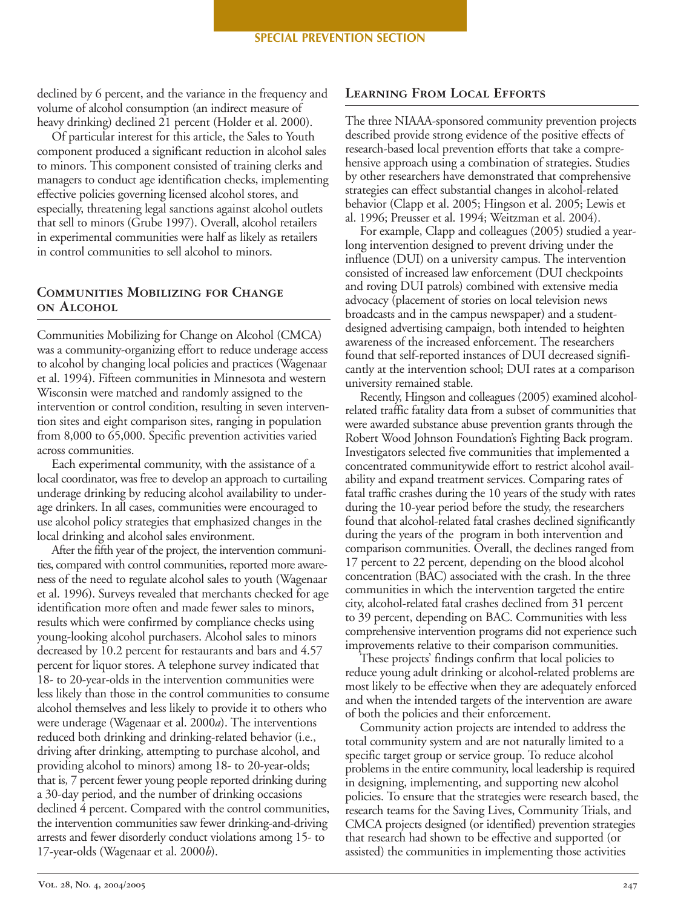declined by 6 percent, and the variance in the frequency and volume of alcohol consumption (an indirect measure of heavy drinking) declined 21 percent (Holder et al. 2000).

Of particular interest for this article, the Sales to Youth component produced a significant reduction in alcohol sales to minors. This component consisted of training clerks and managers to conduct age identification checks, implementing effective policies governing licensed alcohol stores, and especially, threatening legal sanctions against alcohol outlets that sell to minors (Grube 1997). Overall, alcohol retailers in experimental communities were half as likely as retailers in control communities to sell alcohol to minors.

# **Communities Mobilizing for Change on Alcohol**

Communities Mobilizing for Change on Alcohol (CMCA) was a community-organizing effort to reduce underage access to alcohol by changing local policies and practices (Wagenaar et al. 1994). Fifteen communities in Minnesota and western Wisconsin were matched and randomly assigned to the intervention or control condition, resulting in seven intervention sites and eight comparison sites, ranging in population from 8,000 to 65,000. Specific prevention activities varied across communities.

Each experimental community, with the assistance of a local coordinator, was free to develop an approach to curtailing underage drinking by reducing alcohol availability to underage drinkers. In all cases, communities were encouraged to use alcohol policy strategies that emphasized changes in the local drinking and alcohol sales environment.

After the fifth year of the project, the intervention communities, compared with control communities, reported more awareness of the need to regulate alcohol sales to youth (Wagenaar et al. 1996). Surveys revealed that merchants checked for age identification more often and made fewer sales to minors, results which were confirmed by compliance checks using young-looking alcohol purchasers. Alcohol sales to minors decreased by 10.2 percent for restaurants and bars and 4.57 percent for liquor stores. A telephone survey indicated that 18- to 20-year-olds in the intervention communities were less likely than those in the control communities to consume alcohol themselves and less likely to provide it to others who were underage (Wagenaar et al. 2000*a*). The interventions reduced both drinking and drinking-related behavior (i.e., driving after drinking, attempting to purchase alcohol, and providing alcohol to minors) among 18- to 20-year-olds; that is, 7 percent fewer young people reported drinking during a 30-day period, and the number of drinking occasions declined 4 percent. Compared with the control communities, the intervention communities saw fewer drinking-and-driving arrests and fewer disorderly conduct violations among 15- to 17-year-olds (Wagenaar et al. 2000*b*).

# **Learning From Local Efforts**

The three NIAAA-sponsored community prevention projects described provide strong evidence of the positive effects of research-based local prevention efforts that take a comprehensive approach using a combination of strategies. Studies by other researchers have demonstrated that comprehensive strategies can effect substantial changes in alcohol-related behavior (Clapp et al. 2005; Hingson et al. 2005; Lewis et al. 1996; Preusser et al. 1994; Weitzman et al. 2004).

For example, Clapp and colleagues (2005) studied a yearlong intervention designed to prevent driving under the influence (DUI) on a university campus. The intervention consisted of increased law enforcement (DUI checkpoints and roving DUI patrols) combined with extensive media advocacy (placement of stories on local television news broadcasts and in the campus newspaper) and a studentdesigned advertising campaign, both intended to heighten awareness of the increased enforcement. The researchers found that self-reported instances of DUI decreased significantly at the intervention school; DUI rates at a comparison university remained stable.

Recently, Hingson and colleagues (2005) examined alcoholrelated traffic fatality data from a subset of communities that were awarded substance abuse prevention grants through the Robert Wood Johnson Foundation's Fighting Back program. Investigators selected five communities that implemented a concentrated communitywide effort to restrict alcohol availability and expand treatment services. Comparing rates of fatal traffic crashes during the 10 years of the study with rates during the 10-year period before the study, the researchers found that alcohol-related fatal crashes declined significantly during the years of the program in both intervention and comparison communities. Overall, the declines ranged from 17 percent to 22 percent, depending on the blood alcohol concentration (BAC) associated with the crash. In the three communities in which the intervention targeted the entire city, alcohol-related fatal crashes declined from 31 percent to 39 percent, depending on BAC. Communities with less comprehensive intervention programs did not experience such improvements relative to their comparison communities.

These projects' findings confirm that local policies to reduce young adult drinking or alcohol-related problems are most likely to be effective when they are adequately enforced and when the intended targets of the intervention are aware of both the policies and their enforcement.

Community action projects are intended to address the total community system and are not naturally limited to a specific target group or service group. To reduce alcohol problems in the entire community, local leadership is required in designing, implementing, and supporting new alcohol policies. To ensure that the strategies were research based, the research teams for the Saving Lives, Community Trials, and CMCA projects designed (or identified) prevention strategies that research had shown to be effective and supported (or assisted) the communities in implementing those activities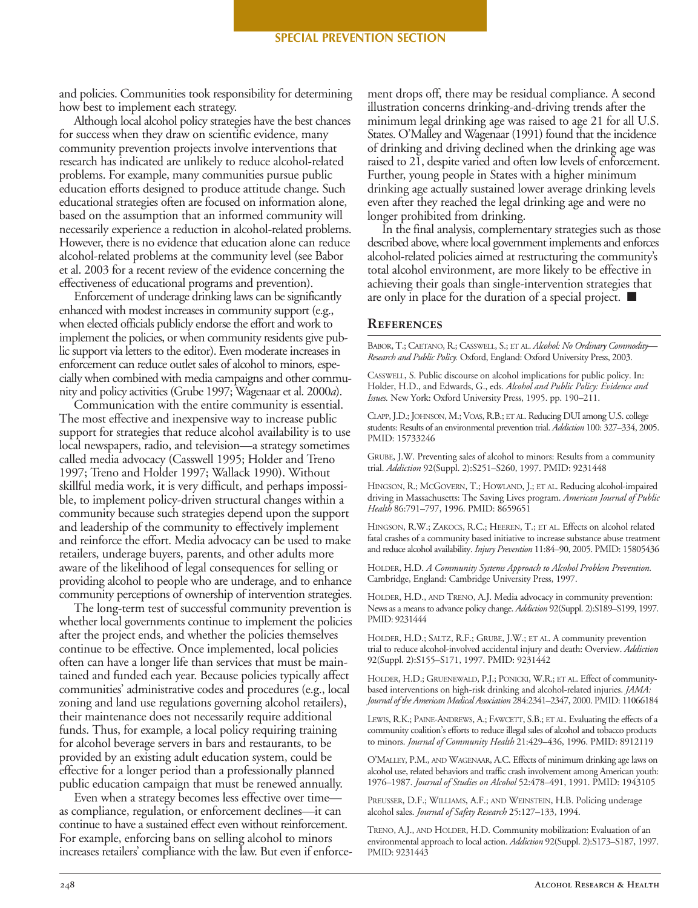and policies. Communities took responsibility for determining how best to implement each strategy.

Although local alcohol policy strategies have the best chances for success when they draw on scientific evidence, many community prevention projects involve interventions that research has indicated are unlikely to reduce alcohol-related problems. For example, many communities pursue public education efforts designed to produce attitude change. Such educational strategies often are focused on information alone, based on the assumption that an informed community will necessarily experience a reduction in alcohol-related problems. However, there is no evidence that education alone can reduce alcohol-related problems at the community level (see Babor et al. 2003 for a recent review of the evidence concerning the effectiveness of educational programs and prevention).

Enforcement of underage drinking laws can be significantly enhanced with modest increases in community support (e.g., when elected officials publicly endorse the effort and work to implement the policies, or when community residents give public support via letters to the editor). Even moderate increases in enforcement can reduce outlet sales of alcohol to minors, especially when combined with media campaigns and other community and policy activities (Grube 1997; Wagenaar et al. 2000*a*).

Communication with the entire community is essential. The most effective and inexpensive way to increase public support for strategies that reduce alcohol availability is to use local newspapers, radio, and television—a strategy sometimes called media advocacy (Casswell 1995; Holder and Treno 1997; Treno and Holder 1997; Wallack 1990). Without skillful media work, it is very difficult, and perhaps impossible, to implement policy-driven structural changes within a community because such strategies depend upon the support and leadership of the community to effectively implement and reinforce the effort. Media advocacy can be used to make retailers, underage buyers, parents, and other adults more aware of the likelihood of legal consequences for selling or providing alcohol to people who are underage, and to enhance community perceptions of ownership of intervention strategies.

The long-term test of successful community prevention is whether local governments continue to implement the policies after the project ends, and whether the policies themselves continue to be effective. Once implemented, local policies often can have a longer life than services that must be maintained and funded each year. Because policies typically affect communities' administrative codes and procedures (e.g., local zoning and land use regulations governing alcohol retailers), their maintenance does not necessarily require additional funds. Thus, for example, a local policy requiring training for alcohol beverage servers in bars and restaurants, to be provided by an existing adult education system, could be effective for a longer period than a professionally planned public education campaign that must be renewed annually.

Even when a strategy becomes less effective over time as compliance, regulation, or enforcement declines—it can continue to have a sustained effect even without reinforcement. For example, enforcing bans on selling alcohol to minors increases retailers' compliance with the law. But even if enforcement drops off, there may be residual compliance. A second illustration concerns drinking-and-driving trends after the minimum legal drinking age was raised to age 21 for all U.S. States. O'Malley and Wagenaar (1991) found that the incidence of drinking and driving declined when the drinking age was raised to 21, despite varied and often low levels of enforcement. Further, young people in States with a higher minimum drinking age actually sustained lower average drinking levels even after they reached the legal drinking age and were no longer prohibited from drinking.

In the final analysis, complementary strategies such as those described above, where local government implements and enforces alcohol-related policies aimed at restructuring the community's total alcohol environment, are more likely to be effective in achieving their goals than single-intervention strategies that are only in place for the duration of a special project. ■

#### **References**

BABOR, T.; CAETANO, R.; CASSWELL, S.; ET AL. *Alcohol: No Ordinary Commodity Research and Public Policy.* Oxford, England: Oxford University Press, 2003.

CASSWELL, S. Public discourse on alcohol implications for public policy. In: Holder, H.D., and Edwards, G., eds. *Alcohol and Public Policy: Evidence and Issues.* New York: Oxford University Press, 1995. pp. 190–211.

CLAPP, J.D.; JOHNSON, M.; VOAS, R.B.; ET AL. Reducing DUI among U.S. college students: Results of an environmental prevention trial. *Addiction* 100: 327–334, 2005. PMID: 15733246

GRUBE, J.W. Preventing sales of alcohol to minors: Results from a community trial. *Addiction* 92(Suppl. 2):S251–S260, 1997. PMID: 9231448

HINGSON, R.; MCGOVERN, T.; HOWLAND, J.; ET AL. Reducing alcohol-impaired driving in Massachusetts: The Saving Lives program. *American Journal of Public Health* 86:791–797, 1996. PMID: 8659651

HINGSON, R.W.; ZAKOCS, R.C.; HEEREN, T.; ET AL. Effects on alcohol related fatal crashes of a community based initiative to increase substance abuse treatment and reduce alcohol availability. *Injury Prevention* 11:84–90, 2005. PMID: 15805436

HOLDER, H.D. *A Community Systems Approach to Alcohol Problem Prevention.*  Cambridge, England: Cambridge University Press, 1997.

HOLDER, H.D., AND TRENO, A.J. Media advocacy in community prevention: News as a means to advance policy change. *Addiction* 92(Suppl. 2):S189–S199, 1997. PMID: 9231444

HOLDER, H.D.; SALTZ, R.F.; GRUBE, J.W.; ET AL. A community prevention trial to reduce alcohol-involved accidental injury and death: Overview. *Addiction*  92(Suppl. 2):S155–S171, 1997. PMID: 9231442

HOLDER, H.D.; GRUENEWALD, P.J.; PONICKI, W.R.; ET AL. Effect of communitybased interventions on high-risk drinking and alcohol-related injuries. *JAMA: Journal of the American Medical Association* 284:2341–2347, 2000. PMID: 11066184

LEWIS, R.K.; PAINE-ANDREWS, A.; FAWCETT, S.B.; ET AL. Evaluating the effects of a community coalition's efforts to reduce illegal sales of alcohol and tobacco products to minors. *Journal of Community Health* 21:429–436, 1996. PMID: 8912119

O'MALLEY, P.M., AND WAGENAAR, A.C. Effects of minimum drinking age laws on alcohol use, related behaviors and traffic crash involvement among American youth: 1976–1987. *Journal of Studies on Alcohol* 52:478–491, 1991. PMID: 1943105

PREUSSER, D.F.; WILLIAMS, A.F.; AND WEINSTEIN, H.B. Policing underage alcohol sales. *Journal of Safety Research* 25:127–133, 1994.

TRENO, A.J., AND HOLDER, H.D. Community mobilization: Evaluation of an environmental approach to local action. *Addiction* 92(Suppl. 2):S173–S187, 1997. PMID: 9231443